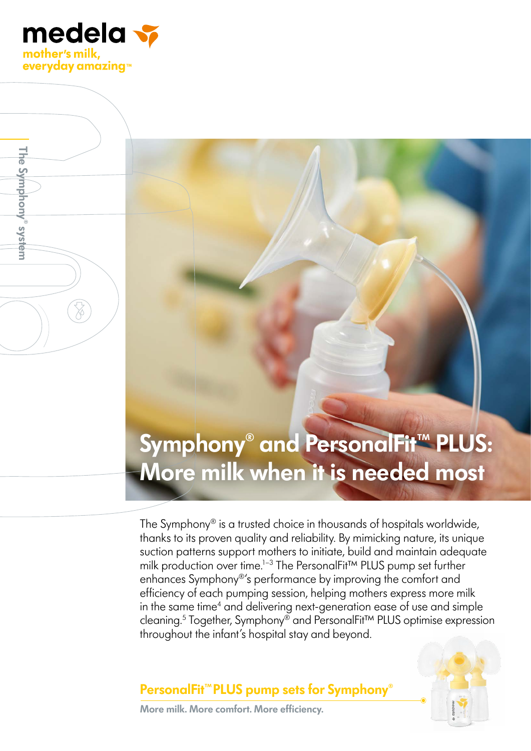

**The Symphony® system**

The Symphony<sup>®</sup> system

# **Symphony® and PersonalFit™ PLUS: More milk when it is needed most**

The Symphony® is a trusted choice in thousands of hospitals worldwide, thanks to its proven quality and reliability. By mimicking nature, its unique suction patterns support mothers to initiate, build and maintain adequate milk production over time.<sup>1-3</sup> The PersonalFit<sup>™</sup> PLUS pump set further enhances Symphony®'s performance by improving the comfort and efficiency of each pumping session, helping mothers express more milk in the same time<sup>4</sup> and delivering next-generation ease of use and simple cleaning.5 Together, Symphony® and PersonalFit™ PLUS optimise expression throughout the infant's hospital stay and beyond.

## **PersonalFit™PLUS pump sets for Symphony**®



**More milk. More comfort. More efficiency.**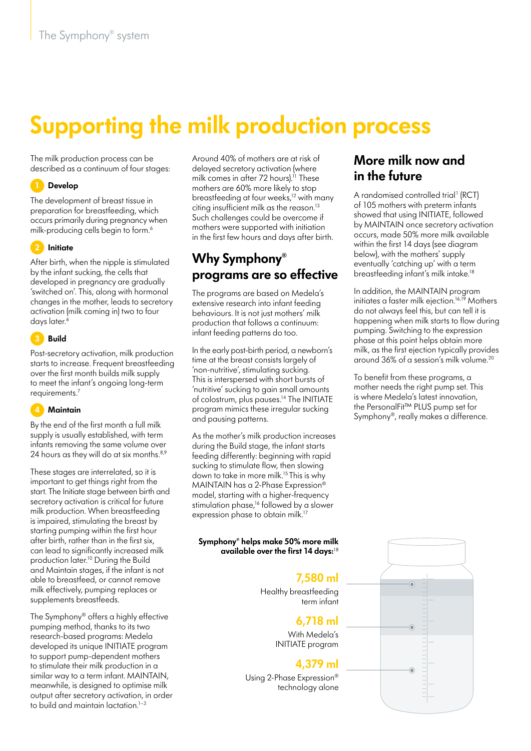# **Supporting the milk production process**

The milk production process can be described as a continuum of four stages:

#### **1 Develop**

The development of breast tissue in preparation for breastfeeding, which occurs primarily during pregnancy when milk-producing cells begin to form.<sup>6</sup>

#### **2 Initiate**

After birth, when the nipple is stimulated by the infant sucking, the cells that developed in pregnancy are gradually 'switched on'. This, along with hormonal changes in the mother, leads to secretory activation (milk coming in) two to four days later.<sup>6</sup>

#### **3 Build**

Post-secretory activation, milk production starts to increase. Frequent breastfeeding over the first month builds milk supply to meet the infant's ongoing long-term requirements.7

#### **4 Maintain**

By the end of the first month a full milk supply is usually established, with term infants removing the same volume over 24 hours as they will do at six months.<sup>8,9</sup>

These stages are interrelated, so it is important to get things right from the start. The Initiate stage between birth and secretory activation is critical for future milk production. When breastfeeding is impaired, stimulating the breast by starting pumping within the first hour after birth, rather than in the first six, can lead to significantly increased milk production later.10 During the Build and Maintain stages, if the infant is not able to breastfeed, or cannot remove milk effectively, pumping replaces or supplements breastfeeds.

The Symphony® offers a highly effective pumping method, thanks to its two research-based programs: Medela developed its unique INITIATE program to support pump-dependent mothers to stimulate their milk production in a similar way to a term infant. MAINTAIN, meanwhile, is designed to optimise milk output after secretory activation, in order to build and maintain lactation.<sup>1-3</sup>

Around 40% of mothers are at risk of delayed secretory activation (where milk comes in after 72 hours).<sup>11</sup> These mothers are 60% more likely to stop breastfeeding at four weeks,<sup>12</sup> with many citing insufficient milk as the reason. $13$ Such challenges could be overcome if mothers were supported with initiation in the first few hours and days after birth.

## **Why Symphony® programs are so effective**

The programs are based on Medela's extensive research into infant feeding behaviours. It is not just mothers' milk production that follows a continuum: infant feeding patterns do too.

In the early post-birth period, a newborn's time at the breast consists largely of 'non-nutritive', stimulating sucking. This is interspersed with short bursts of 'nutritive' sucking to gain small amounts of colostrum, plus pauses.<sup>14</sup> The INITIATE program mimics these irregular sucking and pausing patterns.

As the mother's milk production increases during the Build stage, the infant starts feeding differently: beginning with rapid sucking to stimulate flow, then slowing down to take in more milk.<sup>15</sup> This is why MAINTAIN has a 2-Phase Expression® model, starting with a higher-frequency stimulation phase,<sup>16</sup> followed by a slower expression phase to obtain milk.<sup>17</sup>

#### **Symphony® helps make 50% more milk available over the first 14 days:**<sup>18</sup>

## **7,580 ml**

Healthy breastfeeding term infant

### **6,718 ml**

With Medela's INITIATE program

### **4,379 ml**

Using 2-Phase Expression® technology alone

### **More milk now and in the future**

A randomised controlled trial<sup>1</sup> (RCT) of 105 mothers with preterm infants showed that using INITIATE, followed by MAINTAIN once secretory activation occurs, made 50% more milk available within the first 14 days (see diagram below), with the mothers' supply eventually 'catching up' with a term breastfeeding infant's milk intake.18

In addition, the MAINTAIN program initiates a faster milk ejection.<sup>16,19</sup> Mothers do not always feel this, but can tell it is happening when milk starts to flow during pumping. Switching to the expression phase at this point helps obtain more milk, as the first ejection typically provides around 36% of a session's milk volume.20

To benefit from these programs, a mother needs the right pump set. This is where Medela's latest innovation, the PersonalFit™ PLUS pump set for Symphony®, really makes a difference.

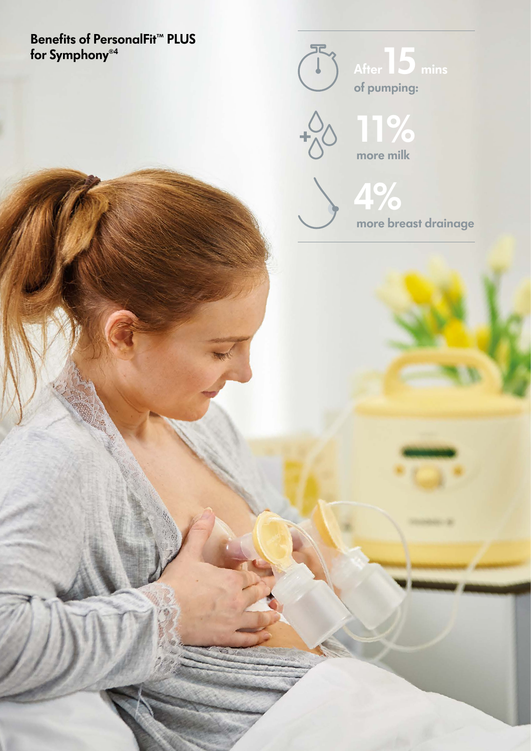# **Benefits of PersonalFit™ PLUS for Symphony®4**





了。

**4% more breast drainage**